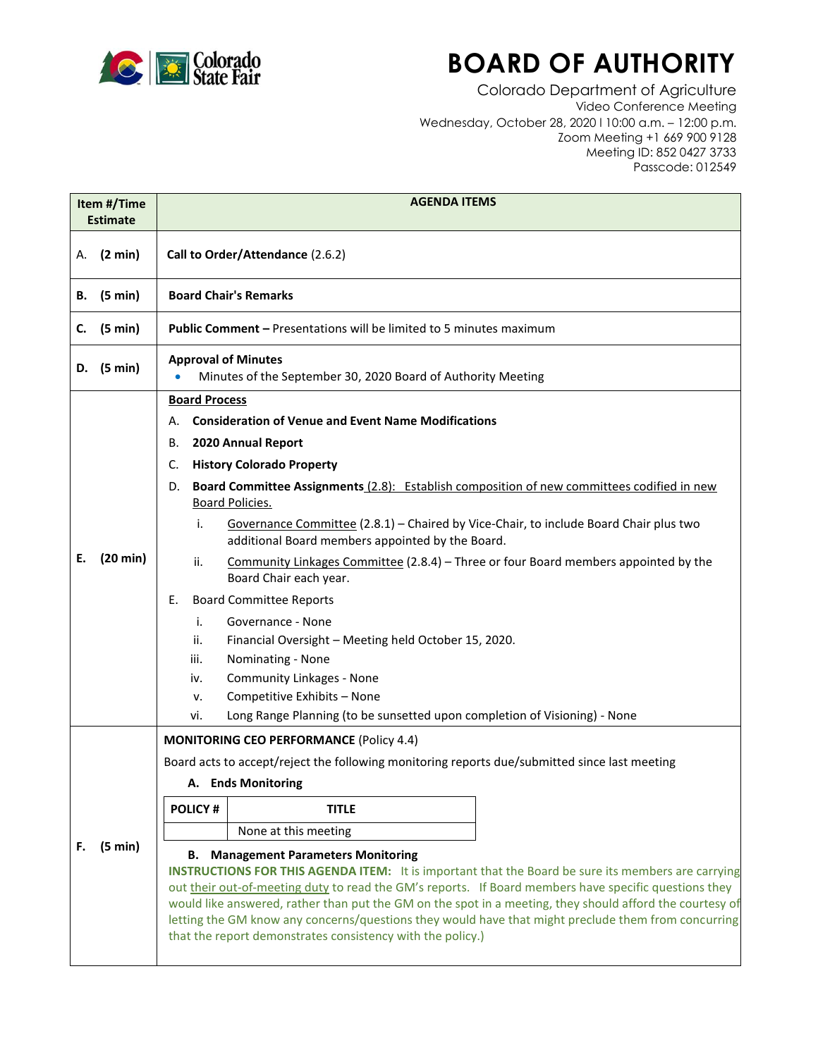

## **BOARD OF AUTHORITY**

Colorado Department of Agriculture Video Conference Meeting Wednesday, October 28, 2020 l 10:00 a.m. – 12:00 p.m. Zoom Meeting +1 669 900 9128 Meeting ID: 852 0427 3733 Passcode: 012549

| Item #/Time<br><b>Estimate</b> |          | <b>AGENDA ITEMS</b>                                                                                                                                                                                                                                                                                                                                                                                                                                                                                                                                                                                                                                                                                                                                                                                                                                                                                        |
|--------------------------------|----------|------------------------------------------------------------------------------------------------------------------------------------------------------------------------------------------------------------------------------------------------------------------------------------------------------------------------------------------------------------------------------------------------------------------------------------------------------------------------------------------------------------------------------------------------------------------------------------------------------------------------------------------------------------------------------------------------------------------------------------------------------------------------------------------------------------------------------------------------------------------------------------------------------------|
| А.                             | (2 min)  | Call to Order/Attendance (2.6.2)                                                                                                                                                                                                                                                                                                                                                                                                                                                                                                                                                                                                                                                                                                                                                                                                                                                                           |
| В.                             | (5 min)  | <b>Board Chair's Remarks</b>                                                                                                                                                                                                                                                                                                                                                                                                                                                                                                                                                                                                                                                                                                                                                                                                                                                                               |
| c.                             | (5 min)  | <b>Public Comment - Presentations will be limited to 5 minutes maximum</b>                                                                                                                                                                                                                                                                                                                                                                                                                                                                                                                                                                                                                                                                                                                                                                                                                                 |
| D.                             | (5 min)  | <b>Approval of Minutes</b><br>Minutes of the September 30, 2020 Board of Authority Meeting<br>$\bullet$                                                                                                                                                                                                                                                                                                                                                                                                                                                                                                                                                                                                                                                                                                                                                                                                    |
| Е.                             | (20 min) | <b>Board Process</b><br><b>Consideration of Venue and Event Name Modifications</b><br>А.<br>2020 Annual Report<br>В.<br><b>History Colorado Property</b><br>C.<br>Board Committee Assignments (2.8): Establish composition of new committees codified in new<br>D.<br><b>Board Policies.</b><br>Governance Committee (2.8.1) - Chaired by Vice-Chair, to include Board Chair plus two<br>i.<br>additional Board members appointed by the Board.<br>ii.<br>Community Linkages Committee (2.8.4) – Three or four Board members appointed by the<br>Board Chair each year.<br><b>Board Committee Reports</b><br>Е.<br>i.<br>Governance - None<br>ii.<br>Financial Oversight - Meeting held October 15, 2020.<br>Nominating - None<br>iii.<br><b>Community Linkages - None</b><br>iv.<br>Competitive Exhibits - None<br>ν.<br>Long Range Planning (to be sunsetted upon completion of Visioning) - None<br>vi. |
| F.                             | (5 min)  | <b>MONITORING CEO PERFORMANCE (Policy 4.4)</b><br>Board acts to accept/reject the following monitoring reports due/submitted since last meeting<br>A. Ends Monitoring                                                                                                                                                                                                                                                                                                                                                                                                                                                                                                                                                                                                                                                                                                                                      |
|                                |          | <b>POLICY#</b><br><b>TITLE</b>                                                                                                                                                                                                                                                                                                                                                                                                                                                                                                                                                                                                                                                                                                                                                                                                                                                                             |
|                                |          | None at this meeting<br><b>B.</b> Management Parameters Monitoring<br><b>INSTRUCTIONS FOR THIS AGENDA ITEM:</b> It is important that the Board be sure its members are carrying<br>out their out-of-meeting duty to read the GM's reports. If Board members have specific questions they<br>would like answered, rather than put the GM on the spot in a meeting, they should afford the courtesy of<br>letting the GM know any concerns/questions they would have that might preclude them from concurring<br>that the report demonstrates consistency with the policy.)                                                                                                                                                                                                                                                                                                                                  |